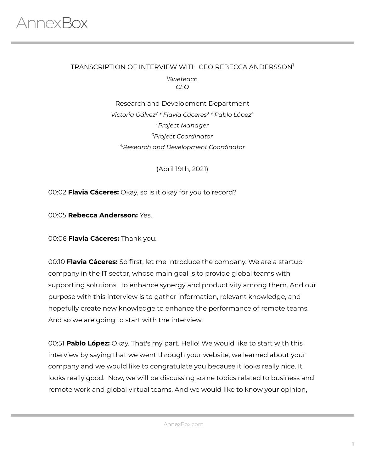#### TRANSCRIPTION OF INTERVIEW WITH CEO REBECCA ANDERSSON 1 *<sup>1</sup>Sweteach CEO*

Research and Development Department *Victoria Gálvez 2 \* Flavia Cáceres 3 \* Pablo López 4 <sup>2</sup>Project Manager <sup>3</sup>Project Coordinator 4,Research and Development Coordinator*

(April 19th, 2021)

00:02 **Flavia Cáceres:** Okay, so is it okay for you to record?

00:05 **Rebecca Andersson:** Yes.

00:06 **Flavia Cáceres:** Thank you.

00:10 **Flavia Cáceres:** So first, let me introduce the company. We are a startup company in the IT sector, whose main goal is to provide global teams with supporting solutions, to enhance synergy and productivity among them. And our purpose with this interview is to gather information, relevant knowledge, and hopefully create new knowledge to enhance the performance of remote teams. And so we are going to start with the interview.

00:51 **Pablo López:** Okay. That's my part. Hello! We would like to start with this interview by saying that we went through your website, we learned about your company and we would like to congratulate you because it looks really nice. It looks really good. Now, we will be discussing some topics related to business and remote work and global virtual teams. And we would like to know your opinion,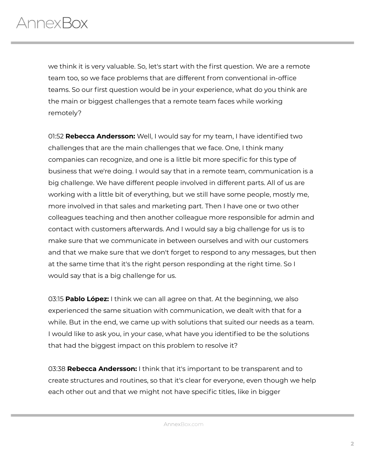we think it is very valuable. So, let's start with the first question. We are a remote team too, so we face problems that are different from conventional in-office teams. So our first question would be in your experience, what do you think are the main or biggest challenges that a remote team faces while working remotely?

01:52 **Rebecca Andersson:** Well, I would say for my team, I have identified two challenges that are the main challenges that we face. One, I think many companies can recognize, and one is a little bit more specific for this type of business that we're doing. I would say that in a remote team, communication is a big challenge. We have different people involved in different parts. All of us are working with a little bit of everything, but we still have some people, mostly me, more involved in that sales and marketing part. Then I have one or two other colleagues teaching and then another colleague more responsible for admin and contact with customers afterwards. And I would say a big challenge for us is to make sure that we communicate in between ourselves and with our customers and that we make sure that we don't forget to respond to any messages, but then at the same time that it's the right person responding at the right time. So I would say that is a big challenge for us.

03:15 **Pablo López:** I think we can all agree on that. At the beginning, we also experienced the same situation with communication, we dealt with that for a while. But in the end, we came up with solutions that suited our needs as a team. I would like to ask you, in your case, what have you identified to be the solutions that had the biggest impact on this problem to resolve it?

03:38 **Rebecca Andersson:** I think that it's important to be transparent and to create structures and routines, so that it's clear for everyone, even though we help each other out and that we might not have specific titles, like in bigger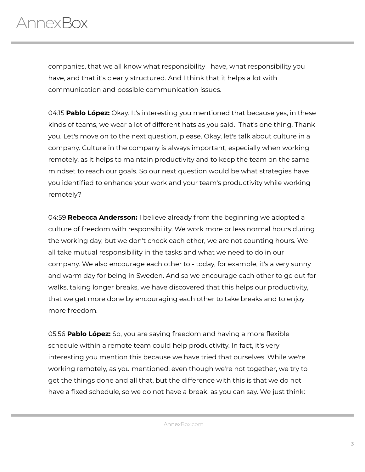companies, that we all know what responsibility I have, what responsibility you have, and that it's clearly structured. And I think that it helps a lot with communication and possible communication issues.

04:15 **Pablo López:** Okay. It's interesting you mentioned that because yes, in these kinds of teams, we wear a lot of different hats as you said. That's one thing. Thank you. Let's move on to the next question, please. Okay, let's talk about culture in a company. Culture in the company is always important, especially when working remotely, as it helps to maintain productivity and to keep the team on the same mindset to reach our goals. So our next question would be what strategies have you identified to enhance your work and your team's productivity while working remotely?

04:59 **Rebecca Andersson:** I believe already from the beginning we adopted a culture of freedom with responsibility. We work more or less normal hours during the working day, but we don't check each other, we are not counting hours. We all take mutual responsibility in the tasks and what we need to do in our company. We also encourage each other to - today, for example, it's a very sunny and warm day for being in Sweden. And so we encourage each other to go out for walks, taking longer breaks, we have discovered that this helps our productivity, that we get more done by encouraging each other to take breaks and to enjoy more freedom.

05:56 **Pablo López:** So, you are saying freedom and having a more flexible schedule within a remote team could help productivity. In fact, it's very interesting you mention this because we have tried that ourselves. While we're working remotely, as you mentioned, even though we're not together, we try to get the things done and all that, but the difference with this is that we do not have a fixed schedule, so we do not have a break, as you can say. We just think: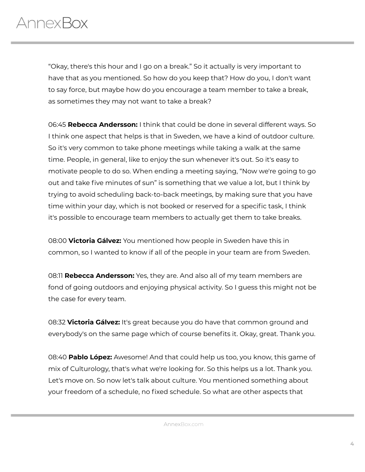"Okay, there's this hour and I go on a break." So it actually is very important to have that as you mentioned. So how do you keep that? How do you, I don't want to say force, but maybe how do you encourage a team member to take a break, as sometimes they may not want to take a break?

06:45 **Rebecca Andersson:** I think that could be done in several different ways. So I think one aspect that helps is that in Sweden, we have a kind of outdoor culture. So it's very common to take phone meetings while taking a walk at the same time. People, in general, like to enjoy the sun whenever it's out. So it's easy to motivate people to do so. When ending a meeting saying, "Now we're going to go out and take five minutes of sun" is something that we value a lot, but I think by trying to avoid scheduling back-to-back meetings, by making sure that you have time within your day, which is not booked or reserved for a specific task, I think it's possible to encourage team members to actually get them to take breaks.

08:00 **Victoria Gálvez:** You mentioned how people in Sweden have this in common, so I wanted to know if all of the people in your team are from Sweden.

08:11 **Rebecca Andersson:** Yes, they are. And also all of my team members are fond of going outdoors and enjoying physical activity. So I guess this might not be the case for every team.

08:32 **Victoria Gálvez:** It's great because you do have that common ground and everybody's on the same page which of course benefits it. Okay, great. Thank you.

08:40 **Pablo López:** Awesome! And that could help us too, you know, this game of mix of Culturology, that's what we're looking for. So this helps us a lot. Thank you. Let's move on. So now let's talk about culture. You mentioned something about your freedom of a schedule, no fixed schedule. So what are other aspects that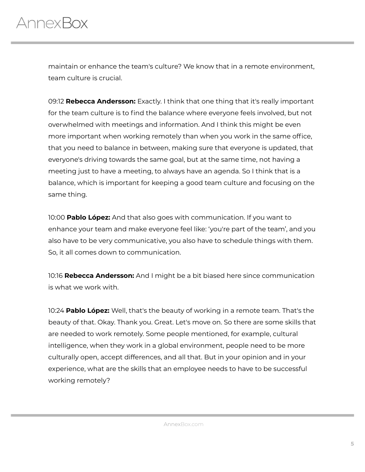maintain or enhance the team's culture? We know that in a remote environment, team culture is crucial.

09:12 **Rebecca Andersson:** Exactly. I think that one thing that it's really important for the team culture is to find the balance where everyone feels involved, but not overwhelmed with meetings and information. And I think this might be even more important when working remotely than when you work in the same office, that you need to balance in between, making sure that everyone is updated, that everyone's driving towards the same goal, but at the same time, not having a meeting just to have a meeting, to always have an agenda. So I think that is a balance, which is important for keeping a good team culture and focusing on the same thing.

10:00 **Pablo López:** And that also goes with communication. If you want to enhance your team and make everyone feel like: 'you're part of the team', and you also have to be very communicative, you also have to schedule things with them. So, it all comes down to communication.

10:16 **Rebecca Andersson:** And I might be a bit biased here since communication is what we work with.

10:24 **Pablo López:** Well, that's the beauty of working in a remote team. That's the beauty of that. Okay. Thank you. Great. Let's move on. So there are some skills that are needed to work remotely. Some people mentioned, for example, cultural intelligence, when they work in a global environment, people need to be more culturally open, accept differences, and all that. But in your opinion and in your experience, what are the skills that an employee needs to have to be successful working remotely?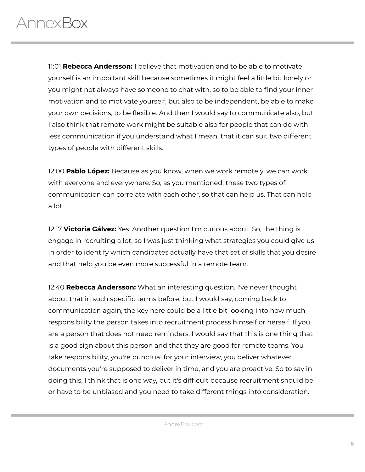11:01 **Rebecca Andersson:** I believe that motivation and to be able to motivate yourself is an important skill because sometimes it might feel a little bit lonely or you might not always have someone to chat with, so to be able to find your inner motivation and to motivate yourself, but also to be independent, be able to make your own decisions, to be flexible. And then I would say to communicate also, but I also think that remote work might be suitable also for people that can do with less communication if you understand what I mean, that it can suit two different types of people with different skills.

12:00 **Pablo López:** Because as you know, when we work remotely, we can work with everyone and everywhere. So, as you mentioned, these two types of communication can correlate with each other, so that can help us. That can help a lot.

12:17 **Victoria Gálvez:** Yes. Another question I'm curious about. So, the thing is I engage in recruiting a lot, so I was just thinking what strategies you could give us in order to identify which candidates actually have that set of skills that you desire and that help you be even more successful in a remote team.

12:40 **Rebecca Andersson:** What an interesting question. I've never thought about that in such specific terms before, but I would say, coming back to communication again, the key here could be a little bit looking into how much responsibility the person takes into recruitment process himself or herself. If you are a person that does not need reminders, I would say that this is one thing that is a good sign about this person and that they are good for remote teams. You take responsibility, you're punctual for your interview, you deliver whatever documents you're supposed to deliver in time, and you are proactive. So to say in doing this, I think that is one way, but it's difficult because recruitment should be or have to be unbiased and you need to take different things into consideration.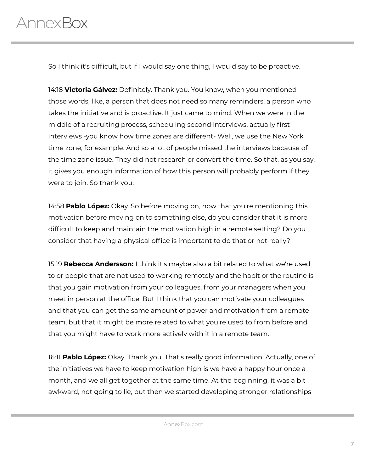So I think it's difficult, but if I would say one thing, I would say to be proactive.

14:18 **Victoria Gálvez:** Definitely. Thank you. You know, when you mentioned those words, like, a person that does not need so many reminders, a person who takes the initiative and is proactive. It just came to mind. When we were in the middle of a recruiting process, scheduling second interviews, actually first interviews -you know how time zones are different- Well, we use the New York time zone, for example. And so a lot of people missed the interviews because of the time zone issue. They did not research or convert the time. So that, as you say, it gives you enough information of how this person will probably perform if they were to join. So thank you.

14:58 **Pablo López:** Okay. So before moving on, now that you're mentioning this motivation before moving on to something else, do you consider that it is more difficult to keep and maintain the motivation high in a remote setting? Do you consider that having a physical office is important to do that or not really?

15:19 **Rebecca Andersson:** I think it's maybe also a bit related to what we're used to or people that are not used to working remotely and the habit or the routine is that you gain motivation from your colleagues, from your managers when you meet in person at the office. But I think that you can motivate your colleagues and that you can get the same amount of power and motivation from a remote team, but that it might be more related to what you're used to from before and that you might have to work more actively with it in a remote team.

16:11 **Pablo López:** Okay. Thank you. That's really good information. Actually, one of the initiatives we have to keep motivation high is we have a happy hour once a month, and we all get together at the same time. At the beginning, it was a bit awkward, not going to lie, but then we started developing stronger relationships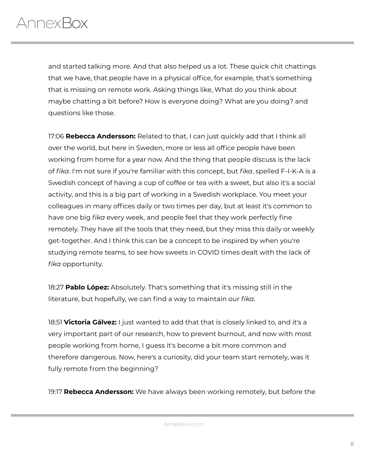and started talking more. And that also helped us a lot. These quick chit chattings that we have, that people have in a physical office, for example, that's something that is missing on remote work. Asking things like, What do you think about maybe chatting a bit before? How is everyone doing? What are you doing? and questions like those.

17:06 **Rebecca Andersson:** Related to that, I can just quickly add that I think all over the world, but here in Sweden, more or less all office people have been working from home for a year now. And the thing that people discuss is the lack of *fika*. I'm not sure if you're familiar with this concept, but *fika*, spelled F-I-K-A is a Swedish concept of having a cup of coffee or tea with a sweet, but also it's a social activity, and this is a big part of working in a Swedish workplace. You meet your colleagues in many offices daily or two times per day, but at least it's common to have one big *fika* every week, and people feel that they work perfectly fine remotely. They have all the tools that they need, but they miss this daily or weekly get-together. And I think this can be a concept to be inspired by when you're studying remote teams, to see how sweets in COVID times dealt with the lack of *fika* opportunity.

18:27 **Pablo López:** Absolutely. That's something that it's missing still in the literature, but hopefully, we can find a way to maintain our *fika*.

18:51 **Victoria Gálvez:** I just wanted to add that that is closely linked to, and it's a very important part of our research, how to prevent burnout, and now with most people working from home, I guess it's become a bit more common and therefore dangerous. Now, here's a curiosity, did your team start remotely, was it fully remote from the beginning?

19:17 **Rebecca Andersson:** We have always been working remotely, but before the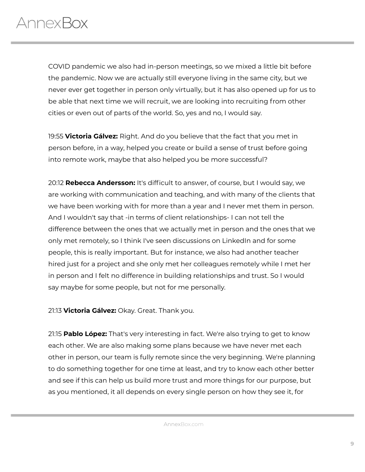COVID pandemic we also had in-person meetings, so we mixed a little bit before the pandemic. Now we are actually still everyone living in the same city, but we never ever get together in person only virtually, but it has also opened up for us to be able that next time we will recruit, we are looking into recruiting from other cities or even out of parts of the world. So, yes and no, I would say.

19:55 **Victoria Gálvez:** Right. And do you believe that the fact that you met in person before, in a way, helped you create or build a sense of trust before going into remote work, maybe that also helped you be more successful?

20:12 **Rebecca Andersson:** It's difficult to answer, of course, but I would say, we are working with communication and teaching, and with many of the clients that we have been working with for more than a year and I never met them in person. And I wouldn't say that -in terms of client relationships- I can not tell the difference between the ones that we actually met in person and the ones that we only met remotely, so I think I've seen discussions on LinkedIn and for some people, this is really important. But for instance, we also had another teacher hired just for a project and she only met her colleagues remotely while I met her in person and I felt no difference in building relationships and trust. So I would say maybe for some people, but not for me personally.

21:13 **Victoria Gálvez:** Okay. Great. Thank you.

21:15 **Pablo López:** That's very interesting in fact. We're also trying to get to know each other. We are also making some plans because we have never met each other in person, our team is fully remote since the very beginning. We're planning to do something together for one time at least, and try to know each other better and see if this can help us build more trust and more things for our purpose, but as you mentioned, it all depends on every single person on how they see it, for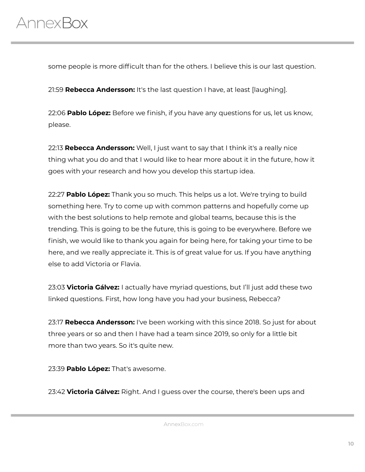some people is more difficult than for the others. I believe this is our last question.

21:59 **Rebecca Andersson:** It's the last question I have, at least [laughing].

22:06 **Pablo López:** Before we finish, if you have any questions for us, let us know, please.

22:13 **Rebecca Andersson:** Well, I just want to say that I think it's a really nice thing what you do and that I would like to hear more about it in the future, how it goes with your research and how you develop this startup idea.

22:27 **Pablo López:** Thank you so much. This helps us a lot. We're trying to build something here. Try to come up with common patterns and hopefully come up with the best solutions to help remote and global teams, because this is the trending. This is going to be the future, this is going to be everywhere. Before we finish, we would like to thank you again for being here, for taking your time to be here, and we really appreciate it. This is of great value for us. If you have anything else to add Victoria or Flavia.

23:03 **Victoria Gálvez:** I actually have myriad questions, but I'll just add these two linked questions. First, how long have you had your business, Rebecca?

23:17 **Rebecca Andersson:** I've been working with this since 2018. So just for about three years or so and then I have had a team since 2019, so only for a little bit more than two years. So it's quite new.

23:39 **Pablo López:** That's awesome.

23:42 **Victoria Gálvez:** Right. And I guess over the course, there's been ups and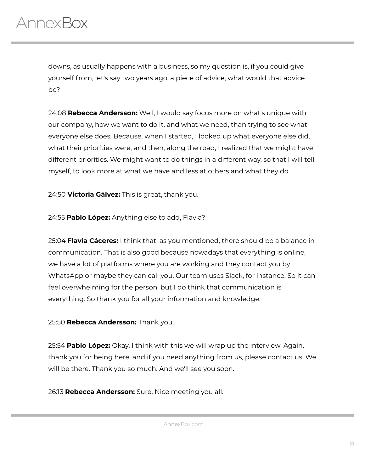downs, as usually happens with a business, so my question is, if you could give yourself from, let's say two years ago, a piece of advice, what would that advice be?

24:08 **Rebecca Andersson:** Well, I would say focus more on what's unique with our company, how we want to do it, and what we need, than trying to see what everyone else does. Because, when I started, I looked up what everyone else did, what their priorities were, and then, along the road, I realized that we might have different priorities. We might want to do things in a different way, so that I will tell myself, to look more at what we have and less at others and what they do.

24:50 **Victoria Gálvez:** This is great, thank you.

24:55 **Pablo López:** Anything else to add, Flavia?

25:04 **Flavia Cáceres:** I think that, as you mentioned, there should be a balance in communication. That is also good because nowadays that everything is online, we have a lot of platforms where you are working and they contact you by WhatsApp or maybe they can call you. Our team uses Slack, for instance. So it can feel overwhelming for the person, but I do think that communication is everything. So thank you for all your information and knowledge.

#### 25:50 **Rebecca Andersson:** Thank you.

25:54 **Pablo López:** Okay. I think with this we will wrap up the interview. Again, thank you for being here, and if you need anything from us, please contact us. We will be there. Thank you so much. And we'll see you soon.

26:13 **Rebecca Andersson:** Sure. Nice meeting you all.